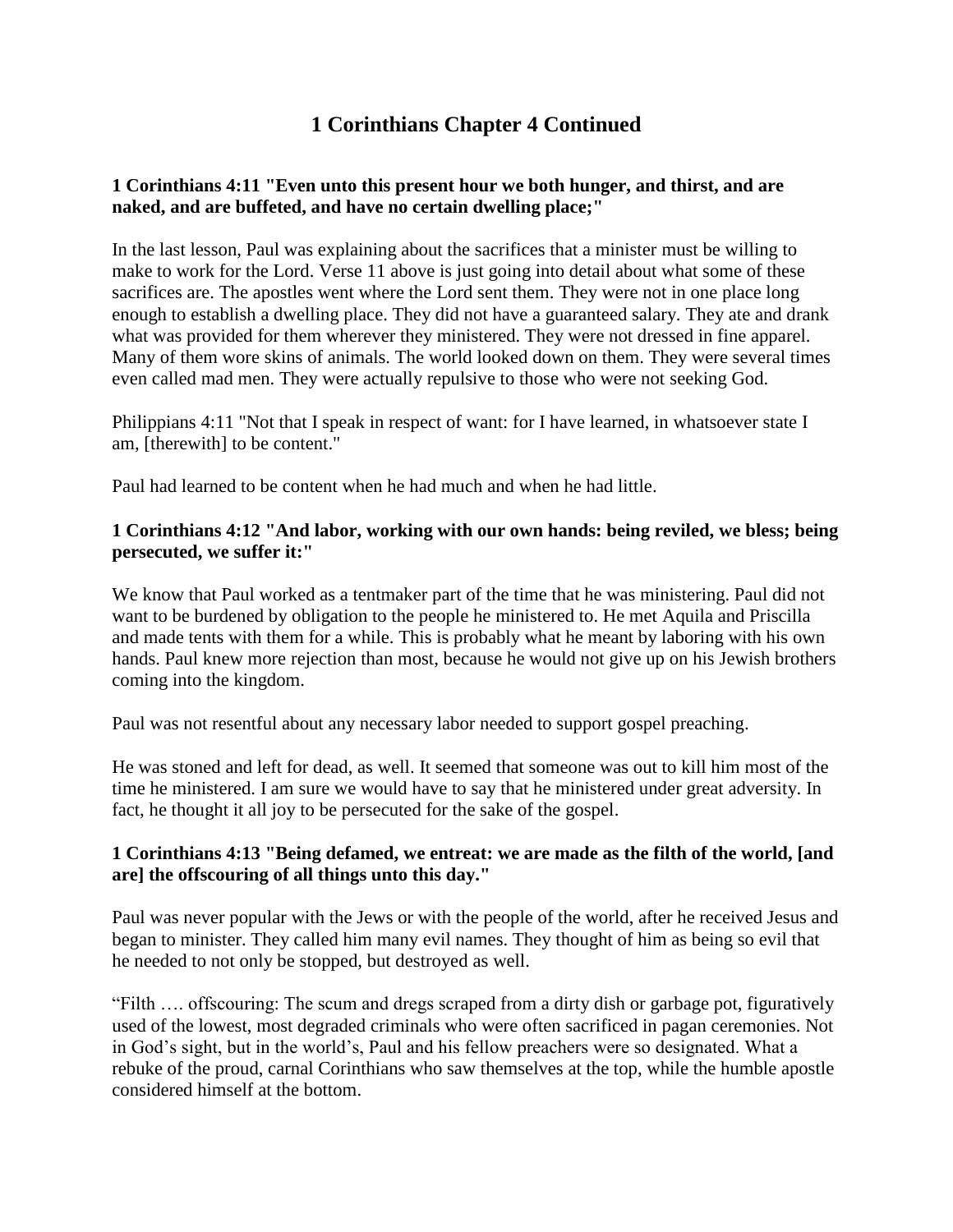# **1 Corinthians Chapter 4 Continued**

### **1 Corinthians 4:11 "Even unto this present hour we both hunger, and thirst, and are naked, and are buffeted, and have no certain dwelling place;"**

In the last lesson, Paul was explaining about the sacrifices that a minister must be willing to make to work for the Lord. Verse 11 above is just going into detail about what some of these sacrifices are. The apostles went where the Lord sent them. They were not in one place long enough to establish a dwelling place. They did not have a guaranteed salary. They ate and drank what was provided for them wherever they ministered. They were not dressed in fine apparel. Many of them wore skins of animals. The world looked down on them. They were several times even called mad men. They were actually repulsive to those who were not seeking God.

Philippians 4:11 "Not that I speak in respect of want: for I have learned, in whatsoever state I am, [therewith] to be content."

Paul had learned to be content when he had much and when he had little.

#### **1 Corinthians 4:12 "And labor, working with our own hands: being reviled, we bless; being persecuted, we suffer it:"**

We know that Paul worked as a tentmaker part of the time that he was ministering. Paul did not want to be burdened by obligation to the people he ministered to. He met Aquila and Priscilla and made tents with them for a while. This is probably what he meant by laboring with his own hands. Paul knew more rejection than most, because he would not give up on his Jewish brothers coming into the kingdom.

Paul was not resentful about any necessary labor needed to support gospel preaching.

He was stoned and left for dead, as well. It seemed that someone was out to kill him most of the time he ministered. I am sure we would have to say that he ministered under great adversity. In fact, he thought it all joy to be persecuted for the sake of the gospel.

#### **1 Corinthians 4:13 "Being defamed, we entreat: we are made as the filth of the world, [and are] the offscouring of all things unto this day."**

Paul was never popular with the Jews or with the people of the world, after he received Jesus and began to minister. They called him many evil names. They thought of him as being so evil that he needed to not only be stopped, but destroyed as well.

"Filth …. offscouring: The scum and dregs scraped from a dirty dish or garbage pot, figuratively used of the lowest, most degraded criminals who were often sacrificed in pagan ceremonies. Not in God's sight, but in the world's, Paul and his fellow preachers were so designated. What a rebuke of the proud, carnal Corinthians who saw themselves at the top, while the humble apostle considered himself at the bottom.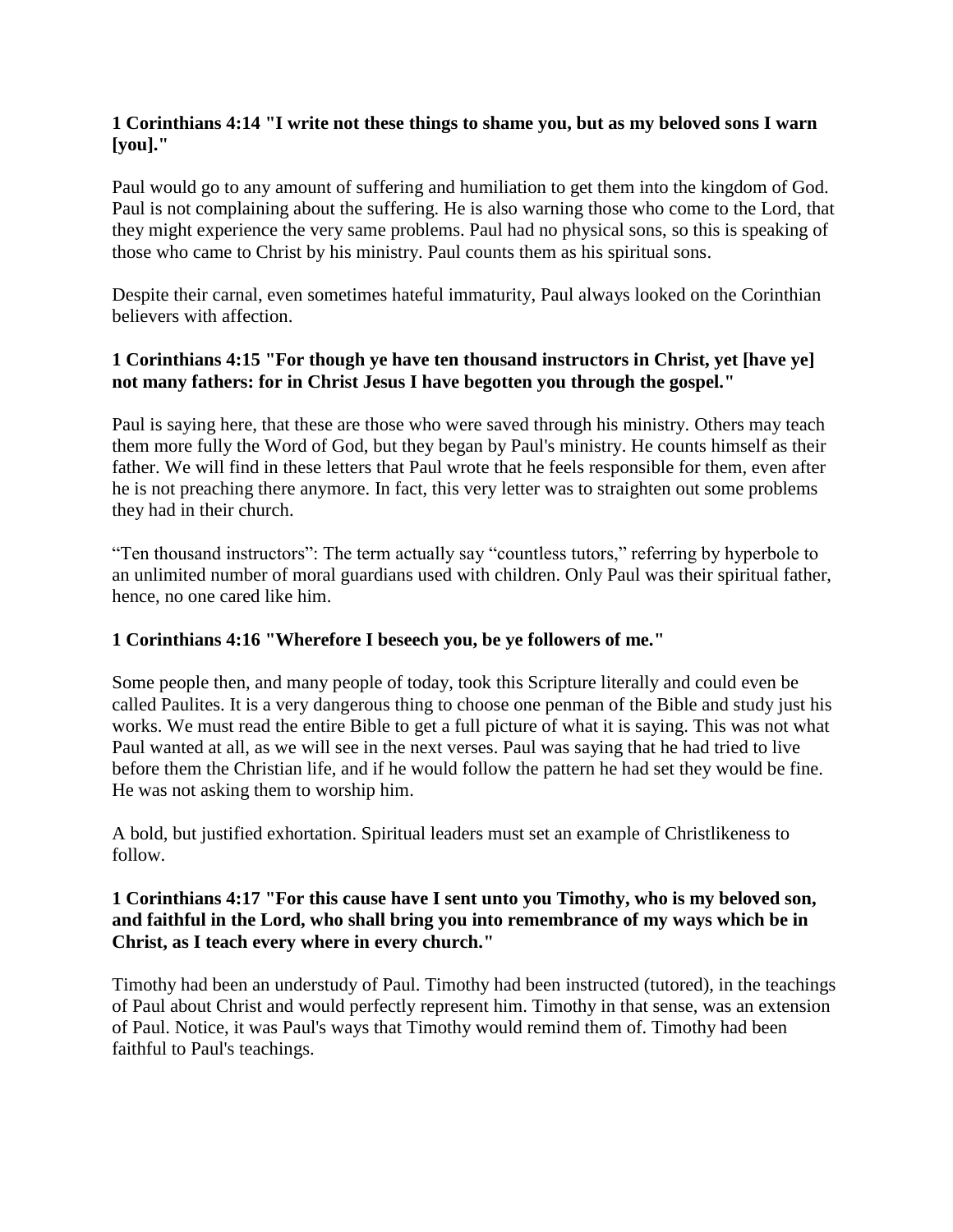### **1 Corinthians 4:14 "I write not these things to shame you, but as my beloved sons I warn [you]."**

Paul would go to any amount of suffering and humiliation to get them into the kingdom of God. Paul is not complaining about the suffering. He is also warning those who come to the Lord, that they might experience the very same problems. Paul had no physical sons, so this is speaking of those who came to Christ by his ministry. Paul counts them as his spiritual sons.

Despite their carnal, even sometimes hateful immaturity, Paul always looked on the Corinthian believers with affection.

## **1 Corinthians 4:15 "For though ye have ten thousand instructors in Christ, yet [have ye] not many fathers: for in Christ Jesus I have begotten you through the gospel."**

Paul is saying here, that these are those who were saved through his ministry. Others may teach them more fully the Word of God, but they began by Paul's ministry. He counts himself as their father. We will find in these letters that Paul wrote that he feels responsible for them, even after he is not preaching there anymore. In fact, this very letter was to straighten out some problems they had in their church.

"Ten thousand instructors": The term actually say "countless tutors," referring by hyperbole to an unlimited number of moral guardians used with children. Only Paul was their spiritual father, hence, no one cared like him.

## **1 Corinthians 4:16 "Wherefore I beseech you, be ye followers of me."**

Some people then, and many people of today, took this Scripture literally and could even be called Paulites. It is a very dangerous thing to choose one penman of the Bible and study just his works. We must read the entire Bible to get a full picture of what it is saying. This was not what Paul wanted at all, as we will see in the next verses. Paul was saying that he had tried to live before them the Christian life, and if he would follow the pattern he had set they would be fine. He was not asking them to worship him.

A bold, but justified exhortation. Spiritual leaders must set an example of Christlikeness to follow.

### **1 Corinthians 4:17 "For this cause have I sent unto you Timothy, who is my beloved son, and faithful in the Lord, who shall bring you into remembrance of my ways which be in Christ, as I teach every where in every church."**

Timothy had been an understudy of Paul. Timothy had been instructed (tutored), in the teachings of Paul about Christ and would perfectly represent him. Timothy in that sense, was an extension of Paul. Notice, it was Paul's ways that Timothy would remind them of. Timothy had been faithful to Paul's teachings.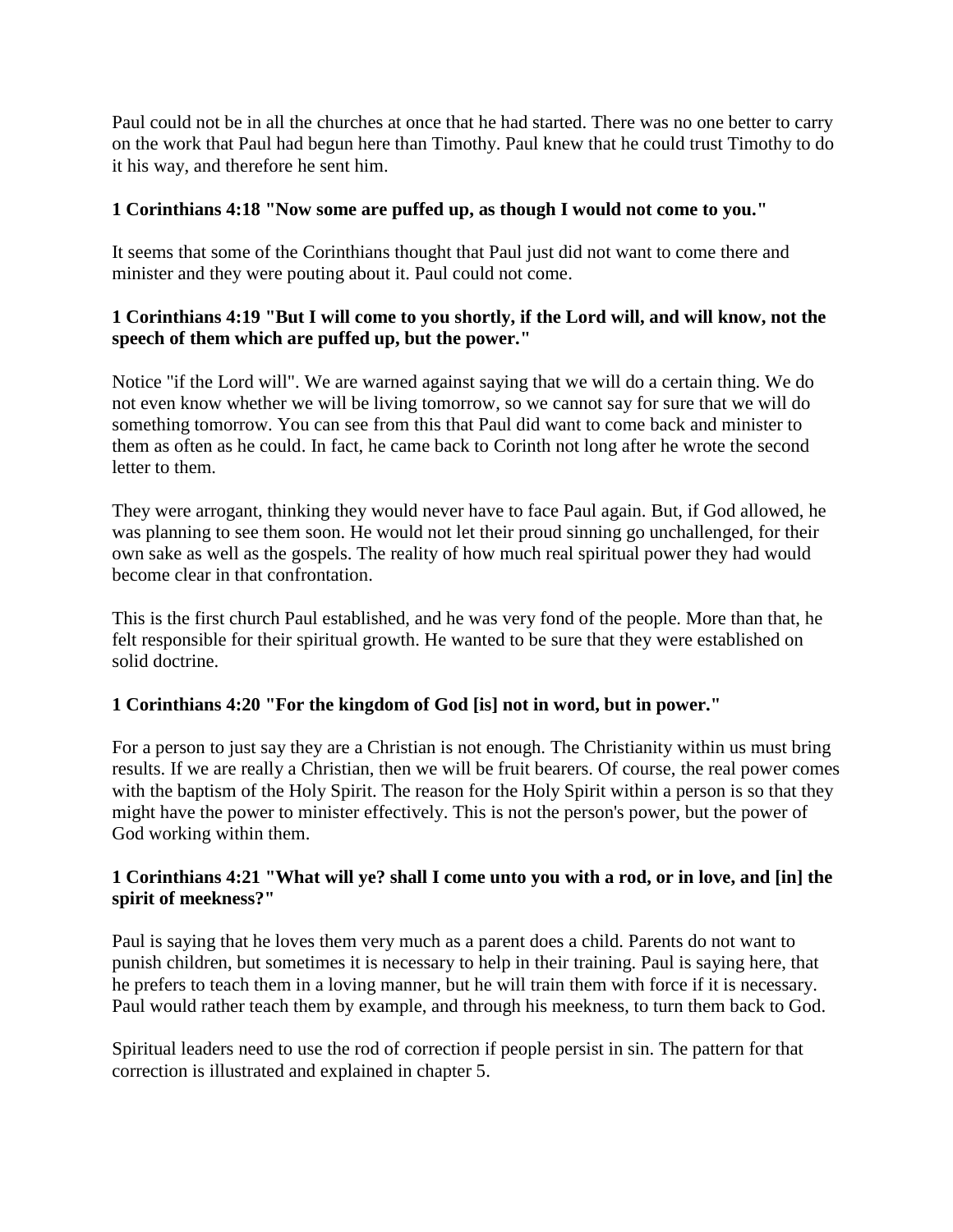Paul could not be in all the churches at once that he had started. There was no one better to carry on the work that Paul had begun here than Timothy. Paul knew that he could trust Timothy to do it his way, and therefore he sent him.

## **1 Corinthians 4:18 "Now some are puffed up, as though I would not come to you."**

It seems that some of the Corinthians thought that Paul just did not want to come there and minister and they were pouting about it. Paul could not come.

## **1 Corinthians 4:19 "But I will come to you shortly, if the Lord will, and will know, not the speech of them which are puffed up, but the power."**

Notice "if the Lord will". We are warned against saying that we will do a certain thing. We do not even know whether we will be living tomorrow, so we cannot say for sure that we will do something tomorrow. You can see from this that Paul did want to come back and minister to them as often as he could. In fact, he came back to Corinth not long after he wrote the second letter to them.

They were arrogant, thinking they would never have to face Paul again. But, if God allowed, he was planning to see them soon. He would not let their proud sinning go unchallenged, for their own sake as well as the gospels. The reality of how much real spiritual power they had would become clear in that confrontation.

This is the first church Paul established, and he was very fond of the people. More than that, he felt responsible for their spiritual growth. He wanted to be sure that they were established on solid doctrine.

## **1 Corinthians 4:20 "For the kingdom of God [is] not in word, but in power."**

For a person to just say they are a Christian is not enough. The Christianity within us must bring results. If we are really a Christian, then we will be fruit bearers. Of course, the real power comes with the baptism of the Holy Spirit. The reason for the Holy Spirit within a person is so that they might have the power to minister effectively. This is not the person's power, but the power of God working within them.

## **1 Corinthians 4:21 "What will ye? shall I come unto you with a rod, or in love, and [in] the spirit of meekness?"**

Paul is saying that he loves them very much as a parent does a child. Parents do not want to punish children, but sometimes it is necessary to help in their training. Paul is saying here, that he prefers to teach them in a loving manner, but he will train them with force if it is necessary. Paul would rather teach them by example, and through his meekness, to turn them back to God.

Spiritual leaders need to use the rod of correction if people persist in sin. The pattern for that correction is illustrated and explained in chapter 5.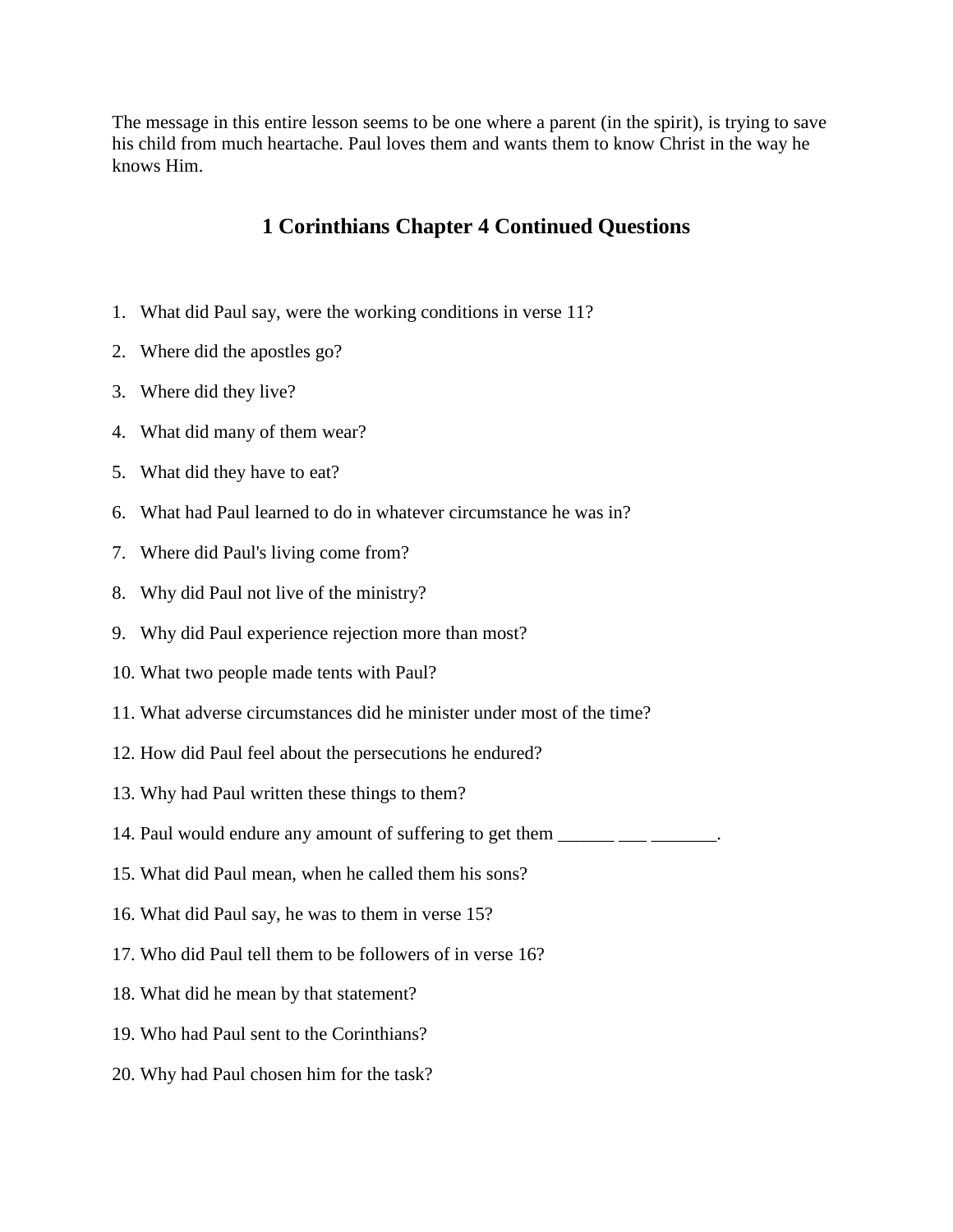The message in this entire lesson seems to be one where a parent (in the spirit), is trying to save his child from much heartache. Paul loves them and wants them to know Christ in the way he knows Him.

# **1 Corinthians Chapter 4 Continued Questions**

- 1. What did Paul say, were the working conditions in verse 11?
- 2. Where did the apostles go?
- 3. Where did they live?
- 4. What did many of them wear?
- 5. What did they have to eat?
- 6. What had Paul learned to do in whatever circumstance he was in?
- 7. Where did Paul's living come from?
- 8. Why did Paul not live of the ministry?
- 9. Why did Paul experience rejection more than most?
- 10. What two people made tents with Paul?
- 11. What adverse circumstances did he minister under most of the time?
- 12. How did Paul feel about the persecutions he endured?
- 13. Why had Paul written these things to them?
- 14. Paul would endure any amount of suffering to get them \_\_\_\_\_\_ \_\_\_\_ \_\_\_\_\_\_.
- 15. What did Paul mean, when he called them his sons?
- 16. What did Paul say, he was to them in verse 15?
- 17. Who did Paul tell them to be followers of in verse 16?
- 18. What did he mean by that statement?
- 19. Who had Paul sent to the Corinthians?
- 20. Why had Paul chosen him for the task?